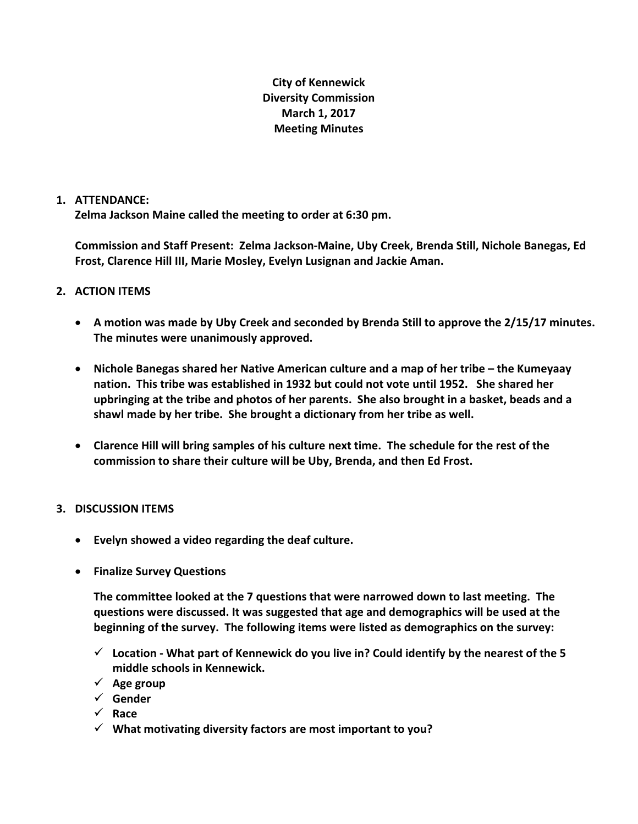## **City of Kennewick Diversity Commission March 1, 2017 Meeting Minutes**

## **1. ATTENDANCE:**

**Zelma Jackson Maine called the meeting to order at 6:30 pm.**

**Commission and Staff Present: Zelma Jackson‐Maine, Uby Creek, Brenda Still, Nichole Banegas, Ed Frost, Clarence Hill III, Marie Mosley, Evelyn Lusignan and Jackie Aman.** 

## **2. ACTION ITEMS**

- **A motion was made by Uby Creek and seconded by Brenda Still to approve the 2/15/17 minutes. The minutes were unanimously approved.**
- **Nichole Banegas shared her Native American culture and a map of her tribe – the Kumeyaay nation. This tribe was established in 1932 but could not vote until 1952. She shared her** upbringing at the tribe and photos of her parents. She also brought in a basket, beads and a **shawl made by her tribe. She brought a dictionary from her tribe as well.**
- **Clarence Hill will bring samples of his culture next time. The schedule for the rest of the commission to share their culture will be Uby, Brenda, and then Ed Frost.**

## **3. DISCUSSION ITEMS**

- **Evelyn showed a video regarding the deaf culture.**
- **Finalize Survey Questions**

**The committee looked at the 7 questions that were narrowed down to last meeting. The questions were discussed. It was suggested that age and demographics will be used at the beginning of the survey. The following items were listed as demographics on the survey:**

- **Location ‐ What part of Kennewick do you live in? Could identify by the nearest of the 5 middle schools in Kennewick.**
- $\checkmark$  Age group
- **Gender**
- **Race**
- **What motivating diversity factors are most important to you?**